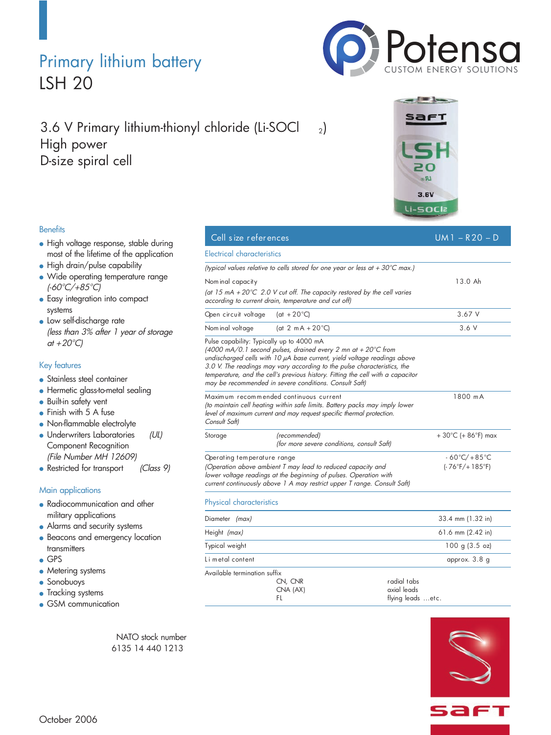### Primary lithium battery LSH 20

### 3.6 V Primary lithium-thionyl chloride (Li-SOCl  $_{2}$ ) High power D-size spiral cell

### **Benefits**

- High voltage response, stable during most of the lifetime of the application
- High drain/pulse capability
- Wide operating temperature range (-60°C/+85°C)
- **Easy integration into compact** systems
- **.** Low self-discharge rate (less than 3% after <sup>1</sup> year of storage at  $+20^{\circ}$ C)

### Key features

- **Stainless steel container**
- **•** Hermetic glass-to-metal sealing
- **Built-in safety vent**
- Finish with 5 A fuse
- Non-flammable electrolyte
- Underwriters Laboratories (UL) Component Recognition (File Number MH 12609)
- Restricted for transport (Class 9)

### Main applications

- Radiocommunication and other military applications
- Alarms and security systems
- Beacons and emergency location transmitters
- GPS
- Metering systems
- Sonobuoys
- Tracking systems
- **GSM** communication

NATO stock number 6135 14 440 1213

# PotensaCUSTOM ENERGY SOLUTIONS afi

 $BQ$  $3.6V$ 

|                                                                                                                                                                                                                                             | Li-SOCI2                                                                                                                                                                                                                                                                                                                                                                                                                   |                                                      |
|---------------------------------------------------------------------------------------------------------------------------------------------------------------------------------------------------------------------------------------------|----------------------------------------------------------------------------------------------------------------------------------------------------------------------------------------------------------------------------------------------------------------------------------------------------------------------------------------------------------------------------------------------------------------------------|------------------------------------------------------|
| Cell size references                                                                                                                                                                                                                        |                                                                                                                                                                                                                                                                                                                                                                                                                            | $UM1 - R20 - D$                                      |
| <b>Electrical characteristics</b>                                                                                                                                                                                                           |                                                                                                                                                                                                                                                                                                                                                                                                                            |                                                      |
|                                                                                                                                                                                                                                             | (typical values relative to cells stored for one year or less at $+30^{\circ}$ C max.)                                                                                                                                                                                                                                                                                                                                     |                                                      |
| Nom inal capacity                                                                                                                                                                                                                           | (at 15 mA + 20 $\degree$ C 2.0 V cut off. The capacity restored by the cell varies<br>according to current drain, temperature and cut off)                                                                                                                                                                                                                                                                                 | 13.0 Ah                                              |
| Open circuit voltage                                                                                                                                                                                                                        | (at $+20^{\circ}$ C)                                                                                                                                                                                                                                                                                                                                                                                                       | 3.67V                                                |
| Nom inal voltage                                                                                                                                                                                                                            | (at 2 mA + $20^{\circ}$ C)                                                                                                                                                                                                                                                                                                                                                                                                 | 3.6 V                                                |
|                                                                                                                                                                                                                                             | Pulse capability: Typically up to 4000 mA<br>(4000 mA/0.1 second pulses, drained every 2 mn at + 20 $^{\circ}$ C from<br>undischarged cells with 10 µA base current, yield voltage readings above<br>3.0 V. The readings may vary according to the pulse characteristics, the<br>temperature, and the cell's previous history. Fitting the cell with a capacitor<br>may be recommended in severe conditions. Consult Saft) |                                                      |
| Maximum recommended continuous current<br>(to maintain cell heating within safe limits. Battery packs may imply lower<br>level of maximum current and may request specific thermal protection.<br>Consult Saft)                             |                                                                                                                                                                                                                                                                                                                                                                                                                            | 1800 mA                                              |
| Storage                                                                                                                                                                                                                                     | (recommended)<br>(for more severe conditions, consult Saft)                                                                                                                                                                                                                                                                                                                                                                | $+30^{\circ}$ C (+ 86 $^{\circ}$ F) max              |
| Operating temperature range<br>(Operation above ambient T may lead to reduced capacity and<br>lower voltage readings at the beginning of pulses. Operation with<br>current continuously above 1 A may restrict upper T range. Consult Saft) |                                                                                                                                                                                                                                                                                                                                                                                                                            | $-60^{\circ}$ C/+85 $^{\circ}$ C<br>$(-76°F/+185°F)$ |
| Physical characteristics                                                                                                                                                                                                                    |                                                                                                                                                                                                                                                                                                                                                                                                                            |                                                      |
| Diameter (max)                                                                                                                                                                                                                              |                                                                                                                                                                                                                                                                                                                                                                                                                            | 33.4 mm (1.32 in)                                    |
| Height (max)                                                                                                                                                                                                                                |                                                                                                                                                                                                                                                                                                                                                                                                                            | 61.6 mm $(2.42$ in)                                  |
| Typical weight                                                                                                                                                                                                                              |                                                                                                                                                                                                                                                                                                                                                                                                                            | 100 g (3.5 oz)                                       |
| Li metal content                                                                                                                                                                                                                            |                                                                                                                                                                                                                                                                                                                                                                                                                            | approx. 3.8 q                                        |



CNA (AX) axial leads<br>Flatter the flying leads flying leads ...etc.